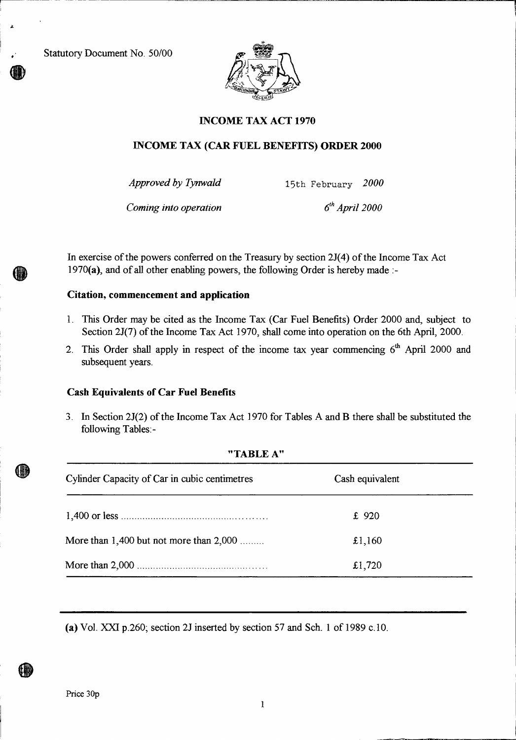Statutory Document No. 50/00

r-



# **INCOME TAX ACT 1970**

# **INCOME TAX (CAR FUEL BENEFITS) ORDER 2000**

*Approved by Tynwald* 15th February *2000* 

*Coming into operation* 6<sup>th</sup> *April 2000* 

In exercise of the powers conferred on the Treasury by section 2J(4) of the Income Tax Act 1970(a), and of all other enabling powers, the following Order is hereby made :-

### **Citation, commencement and application**

- 1. This Order may be cited as the Income Tax (Car Fuel Benefits) Order 2000 and, subject to Section 2J(7) of the Income Tax Act 1970, shall come into operation on the 6th April, 2000.
- 2. This Order shall apply in respect of the income tax year commencing  $6<sup>th</sup>$  April 2000 and subsequent years.

#### **Cash Equivalents of Car Fuel Benefits**

3. In Section 2J(2) of the Income Tax Act 1970 for Tables A and B there shall be substituted the following Tables:-

#### **"TABLE A"**

| Cylinder Capacity of Car in cubic centimetres | Cash equivalent |  |
|-----------------------------------------------|-----------------|--|
|                                               | £ 920           |  |
| More than $1,400$ but not more than $2,000$   | £1,160          |  |
|                                               | £1,720          |  |

(a) Vol. XXI p.260; section 2J inserted by section 57 and Sch. 1 of 1989 c.10.